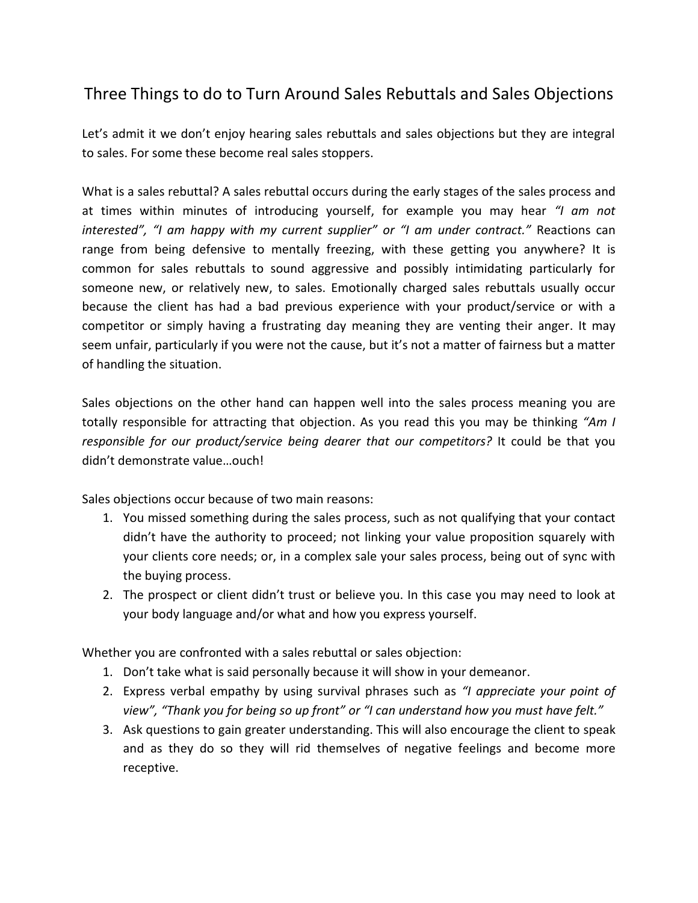## Three Things to do to Turn Around Sales Rebuttals and Sales Objections

Let's admit it we don't enjoy hearing sales rebuttals and sales objections but they are integral to sales. For some these become real sales stoppers.

What is a sales rebuttal? A sales rebuttal occurs during the early stages of the sales process and at times within minutes of introducing yourself, for example you may hear *"I am not interested", "I am happy with my current supplier" or "I am under contract."* Reactions can range from being defensive to mentally freezing, with these getting you anywhere? It is common for sales rebuttals to sound aggressive and possibly intimidating particularly for someone new, or relatively new, to sales. Emotionally charged sales rebuttals usually occur because the client has had a bad previous experience with your product/service or with a competitor or simply having a frustrating day meaning they are venting their anger. It may seem unfair, particularly if you were not the cause, but it's not a matter of fairness but a matter of handling the situation.

Sales objections on the other hand can happen well into the sales process meaning you are totally responsible for attracting that objection. As you read this you may be thinking *"Am I responsible for our product/service being dearer that our competitors?* It could be that you didn't demonstrate value…ouch!

Sales objections occur because of two main reasons:

- 1. You missed something during the sales process, such as not qualifying that your contact didn't have the authority to proceed; not linking your value proposition squarely with your clients core needs; or, in a complex sale your sales process, being out of sync with the buying process.
- 2. The prospect or client didn't trust or believe you. In this case you may need to look at your body language and/or what and how you express yourself.

Whether you are confronted with a sales rebuttal or sales objection:

- 1. Don't take what is said personally because it will show in your demeanor.
- 2. Express verbal empathy by using survival phrases such as *"I appreciate your point of view", "Thank you for being so up front" or "I can understand how you must have felt."*
- 3. Ask questions to gain greater understanding. This will also encourage the client to speak and as they do so they will rid themselves of negative feelings and become more receptive.